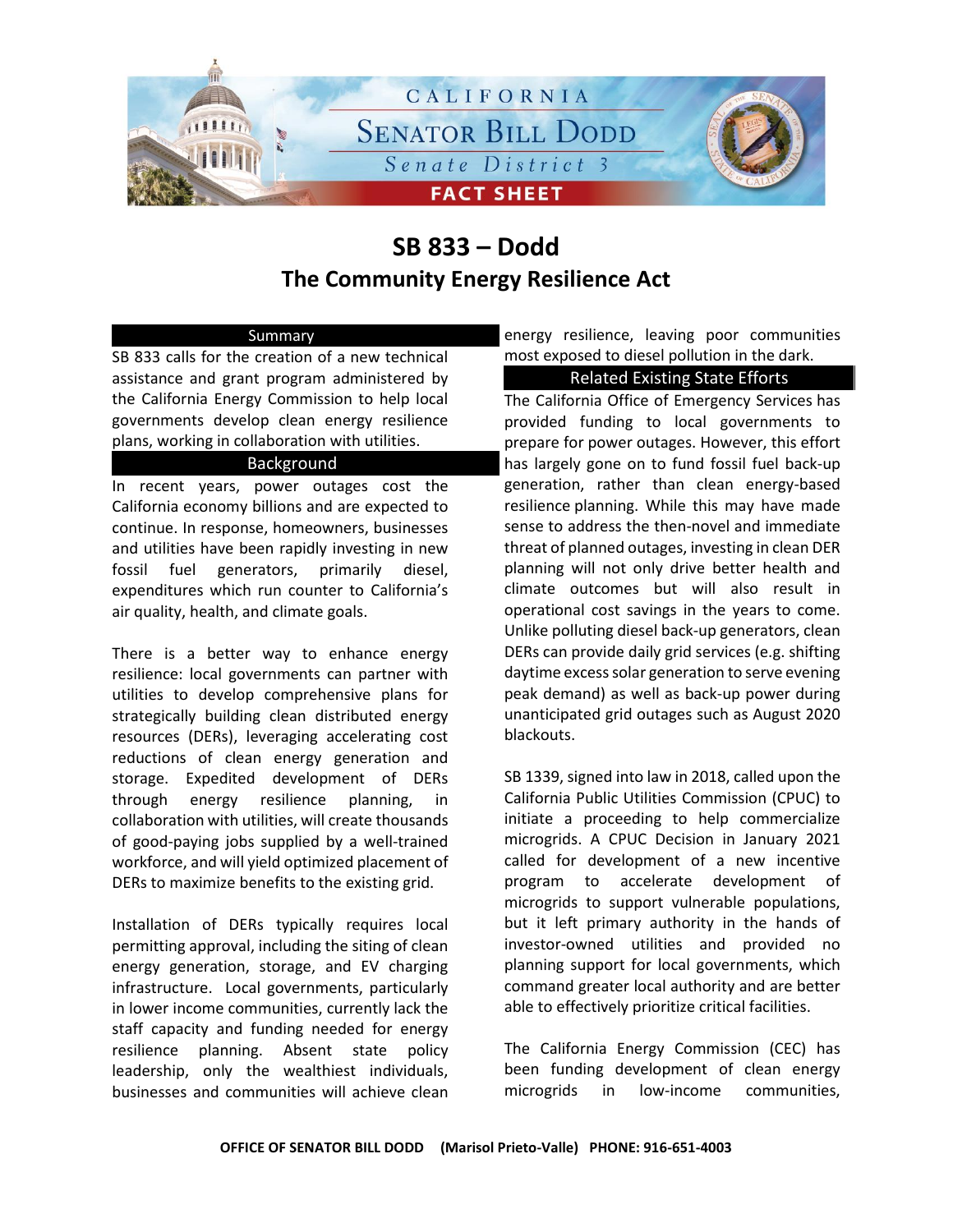

# **SB 833 – Dodd The Community Energy Resilience Act**

## Summary

SB 833 calls for the creation of a new technical assistance and grant program administered by the California Energy Commission to help local governments develop clean energy resilience plans, working in collaboration with utilities.

## Background

In recent years, power outages cost the California economy billions and are expected to continue. In response, homeowners, businesses and utilities have been rapidly investing in new fossil fuel generators, primarily diesel, expenditures which run counter to California's air quality, health, and climate goals.

There is a better way to enhance energy resilience: local governments can partner with utilities to develop comprehensive plans for strategically building clean distributed energy resources (DERs), leveraging accelerating cost reductions of clean energy generation and storage. Expedited development of DERs through energy resilience planning, in collaboration with utilities, will create thousands of good-paying jobs supplied by a well-trained workforce, and will yield optimized placement of DERs to maximize benefits to the existing grid.

Installation of DERs typically requires local permitting approval, including the siting of clean energy generation, storage, and EV charging infrastructure. Local governments, particularly in lower income communities, currently lack the staff capacity and funding needed for energy resilience planning. Absent state policy leadership, only the wealthiest individuals, businesses and communities will achieve clean

energy resilience, leaving poor communities most exposed to diesel pollution in the dark.

### Related Existing State Efforts

The California Office of Emergency Services has provided funding to local governments to prepare for power outages. However, this effort has largely gone on to fund fossil fuel back-up generation, rather than clean energy-based resilience planning. While this may have made sense to address the then-novel and immediate threat of planned outages, investing in clean DER planning will not only drive better health and climate outcomes but will also result in operational cost savings in the years to come. Unlike polluting diesel back-up generators, clean DERs can provide daily grid services (e.g. shifting daytime excess solar generation to serve evening peak demand) as well as back-up power during unanticipated grid outages such as August 2020 blackouts.

SB 1339, signed into law in 2018, called upon the California Public Utilities Commission (CPUC) to initiate a proceeding to help commercialize microgrids. A CPUC Decision in January 2021 called for development of a new incentive program to accelerate development of microgrids to support vulnerable populations, but it left primary authority in the hands of investor-owned utilities and provided no planning support for local governments, which command greater local authority and are better able to effectively prioritize critical facilities.

The California Energy Commission (CEC) has been funding development of clean energy microgrids in low-income communities,